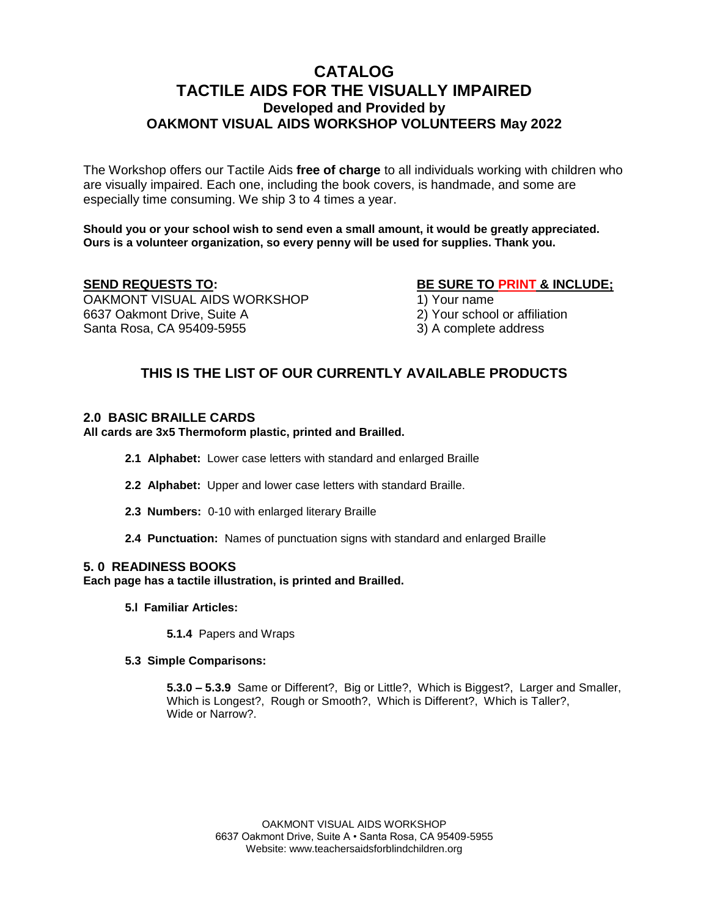# **CATALOG TACTILE AIDS FOR THE VISUALLY IMPAIRED Developed and Provided by OAKMONT VISUAL AIDS WORKSHOP VOLUNTEERS May 2022**

The Workshop offers our Tactile Aids **free of charge** to all individuals working with children who are visually impaired. Each one, including the book covers, is handmade, and some are especially time consuming. We ship 3 to 4 times a year.

**Should you or your school wish to send even a small amount, it would be greatly appreciated. Ours is a volunteer organization, so every penny will be used for supplies. Thank you.**

OAKMONT VISUAL AIDS WORKSHOP 1) Your name 6637 Oakmont Drive, Suite A 2) Your school or affiliation Santa Rosa, CA 95409-5955 3) A complete address

**SEND REQUESTS TO: BE SURE TO PRINT & INCLUDE;**

# **THIS IS THE LIST OF OUR CURRENTLY AVAILABLE PRODUCTS**

# **2.0 BASIC BRAILLE CARDS**

**All cards are 3x5 Thermoform plastic, printed and Brailled.**

- **2.1 Alphabet:** Lower case letters with standard and enlarged Braille
- **2.2 Alphabet:** Upper and lower case letters with standard Braille.
- **2.3 Numbers:** 0-10 with enlarged literary Braille
- **2.4 Punctuation:** Names of punctuation signs with standard and enlarged Braille

# **5. 0 READINESS BOOKS**

**Each page has a tactile illustration, is printed and Brailled.**

**5.l Familiar Articles:** 

**5.1.4** Papers and Wraps

#### **5.3 Simple Comparisons:**

**5.3.0 – 5.3.9** Same or Different?, Big or Little?, Which is Biggest?, Larger and Smaller, Which is Longest?, Rough or Smooth?, Which is Different?, Which is Taller?, Wide or Narrow?.

> OAKMONT VISUAL AIDS WORKSHOP 6637 Oakmont Drive, Suite A • Santa Rosa, CA 95409-5955 Website: www.teachersaidsforblindchildren.org